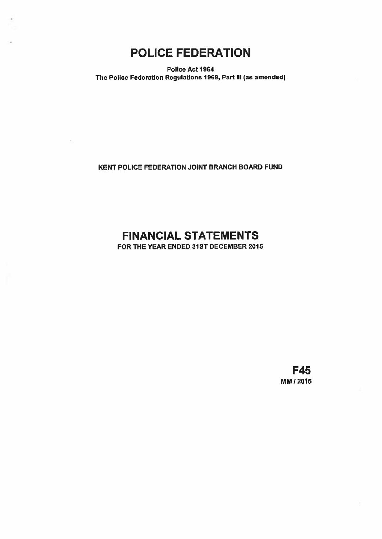POLICE FEDERATION

Police Act 1964 The Police Federation Regulations 1969, Part Ill (as amended)

KENT POLICE FEDERATION JOINT BRANCH BOARD FUND

# FINANCIAL STATEMENTS

FOR THE YEAR ENDED 31ST DECEMBER 2015

F45 MM 12015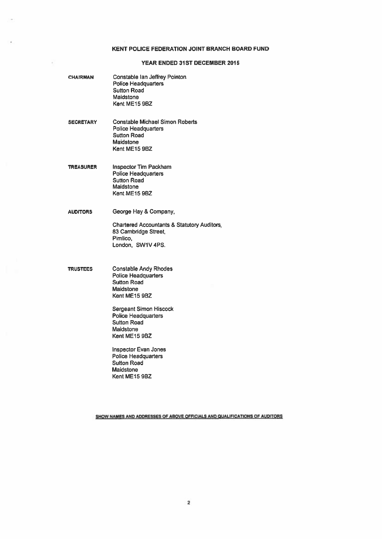# KENT POLICE FEDERATION JOINT BRANCH BOARD FUND

# YEAR ENDED 31ST DECEMBER 2015

| <b>CHAIRMAN</b>  | Constable Ian Jeffrey Pointon<br><b>Police Headquarters</b><br><b>Sutton Road</b><br>Maidstone<br>Kent ME15 9BZ                                                                                    |
|------------------|----------------------------------------------------------------------------------------------------------------------------------------------------------------------------------------------------|
| <b>SECRETARY</b> | <b>Constable Michael Simon Roberts</b><br><b>Police Headquarters</b><br><b>Sutton Road</b><br>Maidstone<br>Kent ME15 9BZ                                                                           |
| <b>TREASURER</b> | <b>Inspector Tim Packham</b><br><b>Police Headquarters</b><br><b>Sutton Road</b><br>Maidstone<br>Kent ME15 9BZ                                                                                     |
| <b>AUDITORS</b>  | George Hay & Company,<br><b>Chartered Accountants &amp; Statutory Auditors</b><br>83 Cambridge Street,<br>Pimlico.<br>London, SW1V 4PS.                                                            |
| <b>TRUSTEES</b>  | <b>Constable Andy Rhodes</b><br><b>Police Headquarters</b><br>Sutton Road<br>Maidstone<br>Kent ME15 9BZ<br>Sergeant Simon Hiscock<br><b>Police Headquarters</b><br><b>Sutton Road</b><br>Maidstone |
|                  | Kent ME15 9BZ<br><b>Inspector Evan Jones</b>                                                                                                                                                       |

Police Headquarters Sutton Road Maidstone Kent ME15 9BZ

SHOW NAMES AND ADDRESSES OF ABOVE OFFICIALS AND QUALIFICATIONS OF AUDITORS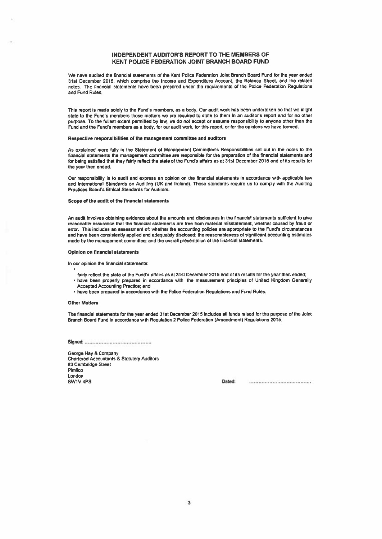# INDEPENDENT AUDITOR'S REPORT TO THE MEMBERS OF KENT POLICE FEDERATION JOINT BRANCH BOARD FUND

We have audited the financial statements or the Kent Police Federation Joint Branch Board Fund for the year ended 31st December 2015, which comprise the Income and Expenditure Account, the Balance Sheet, and the related notes. The financial statements have been prepared under the requirements of the Police Federation Regulations and Fund Rules.

This repor<sup>t</sup> is made solely to the Fund's members, as <sup>a</sup> body. Our audit work has been undertaken so that we might state to the Fund's members those matters we are required to state to them in an auditor's repor<sup>t</sup> and for no other purpose. To the fullest extent permitted by law, we do not accep<sup>t</sup> or assume responsibility to anyone other than the Fund and the Fund's members as <sup>a</sup> body, for our audit work, for this report, or for the opinions we have formed,

#### Respective responsibilities of the management committee and auditors

As explained more fully in the Statement of Management Committee's Responsibilities set out in the notes to the financial statements the managemen<sup>t</sup> committee are responsible for the preparation of the financial statements and for being satisfied that they fairly reflect the state of the Fund's affairs as at 31st December 2015 and of its results for the year then ended,

Our responsibility is to audit and express an opinion on the financial statements in accordance with applicable law and International Standards on Auditing (UK and Ireland). Those standards require us to comply with the Auditing Practices Board's Ethical Standards for Auditors.

#### Scope of the audit of the financial statements

An audit involves obtaining evidence about the amounts and disclosures in the financial statements sufficient to give reasonable assurance that the financial statements are free from material misstatement, whether caused by fraud or error, This includes an assessment of: whether the accounting policies are appropriate to the Fund's circumstances and have been consistently applied and adequately disclosed; the reasonableness of significant accounting estimates made by the managemen<sup>t</sup> committee; and the overall presentation of the financial statements,

#### Opinion on financial statements

In our opinion the financial statements:

- fairly reflect the state of the Fund's affairs as at 31st December 2015 and of its results for the year then ended;
- have been property prepared in accordance with the measurement principles of United Kingdom Generally Accepted Accounting Practice; and
- have been prepared in accordance with the Police Federation Regulations and Fund Rules,

#### Other Matters

The financial statements for the year ended 31st December 2015 includes all funds raised for the purpose of the Joint Brand, Board Fund in accordance with Regulation 2 Police Federation (Amendment) Regutations 2015.

Signed'.,.,,..,...,,.,..,,..,.,...,..,.,..,.,..,..,

George Hay & Company Chartered Accountants & Statutory Auditors 83 Cambridge Street Pimlico London SW1V 4PS Dated: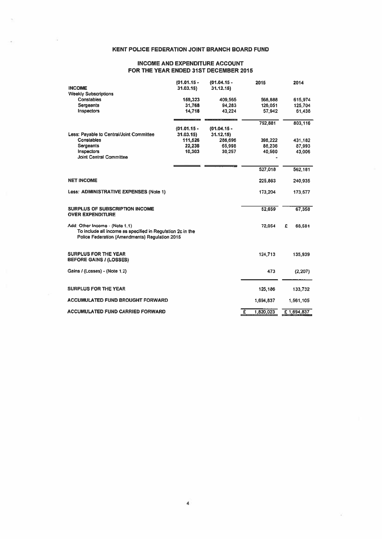# KENT POLICE FEDERATION JOINT BRANCH BOARD FUND

# INCOME AND EXPENDITURE ACCOUNT FOR THE YEAR ENDED 31ST DECEMBER 2015

|                                                                                                                                                | $(01.01.15 -$ | $(01.04.15 -$ |   | 2015      |   | 2014       |
|------------------------------------------------------------------------------------------------------------------------------------------------|---------------|---------------|---|-----------|---|------------|
| <b>INCOME</b>                                                                                                                                  | 31.03.15      | 31.12.15)     |   |           |   |            |
| <b>Weekly Subscriptions</b>                                                                                                                    |               |               |   |           |   |            |
| <b>Constables</b>                                                                                                                              | 159,323       | 409,565       |   | 568,888   |   | 615,974    |
| <b>Sergeants</b>                                                                                                                               | 31,768        | 94,283        |   | 126,051   |   | 125,704    |
| Inspectors                                                                                                                                     | 14.718        | 43.224        |   | 57.942    |   | 61,438     |
|                                                                                                                                                |               |               |   | 752.881   |   | 803,116    |
|                                                                                                                                                | $(01.01.15 -$ | $(01.04.15 -$ |   |           |   |            |
| Less: Payable to Central/Joint Committee                                                                                                       | 31.03.15      | 31.12.15      |   |           |   |            |
| Constables                                                                                                                                     | 111,526       | 286,696       |   | 398,222   |   | 431,182    |
| Sergeants                                                                                                                                      | 22,238        | 65,998        |   | 88,236    |   | 87,993     |
| Inspectors                                                                                                                                     | 10,303        | 30.257        |   | 40,560    |   | 43,006     |
| <b>Joint Central Committee</b>                                                                                                                 |               |               |   |           |   |            |
|                                                                                                                                                |               |               |   | 527,018   |   | 562,181    |
| <b>NET INCOME</b>                                                                                                                              |               |               |   | 225,863   |   | 240,935    |
| Less: ADMINISTRATIVE EXPENSES (Note 1)                                                                                                         |               |               |   | 173,204   |   | 173,577    |
| <b>SURPLUS OF SUBSCRIPTION INCOME</b><br><b>OVER EXPENDITURE</b>                                                                               |               |               |   | 52,659    |   | 67,358     |
| Add: Other Income - (Note 1.1)<br>To include all income as specified in Regulation 2c in the<br>Police Federation (Amendments) Regulation 2015 |               |               |   | 72,054    | £ | 68,581     |
| <b>SURPLUS FOR THE YEAR</b><br><b>BEFORE GAINS / (LOSSES)</b>                                                                                  |               |               |   | 124,713   |   | 135,939    |
| Gains / (Losses) - (Note 1.2)                                                                                                                  |               |               |   | 473       |   | (2, 207)   |
| <b>SURPLUS FOR THE YEAR</b>                                                                                                                    |               |               |   | 125,186   |   | 133,732    |
| <b>ACCUMULATED FUND BROUGHT FORWARD</b>                                                                                                        |               |               |   | 1,694,837 |   | 1,561,105  |
| <b>ACCUMULATED FUND CARRIED FORWARD</b>                                                                                                        |               |               | Ξ | 1,820,023 |   | £1,694,837 |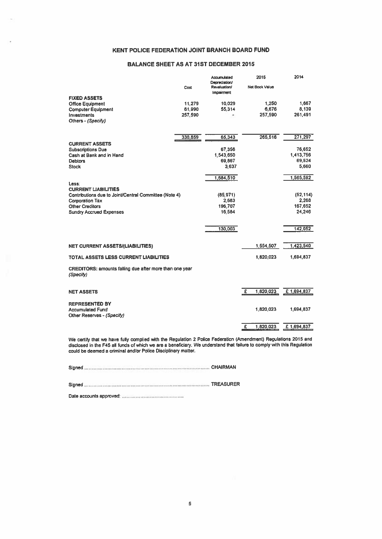# KENT POLICE FEDERATION JOINT BRANCH BOARD FUND

# BALANCE SHEET AS AT 31ST DECEMBER 2015

|                                                                             |         | Accumulated<br>Depreciation/ | 2015           | 2014       |
|-----------------------------------------------------------------------------|---------|------------------------------|----------------|------------|
|                                                                             | Cost    | Revaluation/<br>Impairment   | Net Book Value |            |
| <b>FIXED ASSETS</b>                                                         |         |                              |                |            |
| <b>Office Equipment</b>                                                     | 11,279  | 10,029                       | 1,250          | 1.667      |
| <b>Computer Equipment</b>                                                   | 61,990  | 55,314                       | 6,676          | 8,139      |
| Investments                                                                 | 257,590 |                              | 257,590        | 261,491    |
| Others - (Specify)                                                          |         |                              |                |            |
|                                                                             | 330,859 | 65,343                       | 265,516        | 271,297    |
| <b>CURRENT ASSETS</b>                                                       |         |                              |                |            |
| <b>Subscriptions Due</b>                                                    |         | 67,356                       |                | 76.652     |
| Cash at Bank and in Hand                                                    |         | 1,543,650                    |                | 1,413,756  |
| <b>Debtors</b>                                                              |         | 69,867                       |                | 69,524     |
| <b>Stock</b>                                                                |         | 3,637                        |                | 5,660      |
|                                                                             |         | 1,684,510                    |                | 1,565,592  |
| Less:                                                                       |         |                              |                |            |
| <b>CURRENT LIABILITIES</b>                                                  |         |                              |                |            |
| Contributions due to Joint/Central Committee (Note 4)                       |         | (85, 971)                    |                | (52, 114)  |
| <b>Corporation Tax</b>                                                      |         | 2,683                        |                | 2,268      |
| <b>Other Creditors</b>                                                      |         | 196,707                      |                | 167.652    |
| <b>Sundry Accrued Expenses</b>                                              |         | 16,584                       |                | 24,246     |
|                                                                             |         | 130.003                      |                | 142.052    |
|                                                                             |         |                              |                |            |
| <b>NET CURRENT ASSETS/(LIABILITIES)</b>                                     |         |                              | 1,554,507      | 1,423,540  |
| TOTAL ASSETS LESS CURRENT LIABILITIES                                       |         |                              | 1.820.023      | 1,694,837  |
|                                                                             |         |                              |                |            |
| <b>CREDITORS: amounts falling due after more than one year</b><br>(Specify) |         |                              |                |            |
|                                                                             |         |                              |                |            |
| <b>NET ASSETS</b>                                                           |         |                              | £<br>1,820,023 | £1,694,837 |
| <b>REPRESENTED BY</b>                                                       |         |                              |                |            |
| <b>Accumulated Fund</b>                                                     |         |                              | 1,820,023      | 1,694,837  |
| Other Reserves - (Specify)                                                  |         |                              |                |            |
|                                                                             |         |                              | 1,820,023<br>£ | £1,694,837 |
|                                                                             |         |                              |                |            |

We certify that we have fully complied with the Regulation <sup>2</sup> Police Federation (Amendment) Regulations <sup>2015</sup> and disclosed in the F45 all funds of which we are a beneficiary. We understand that failure to comply with this Regulation could be deemed <sup>a</sup> criminal and/or Police Disciplinary matter.

Signed CHAIRMAN

Signed TREASURER

Date accounts approved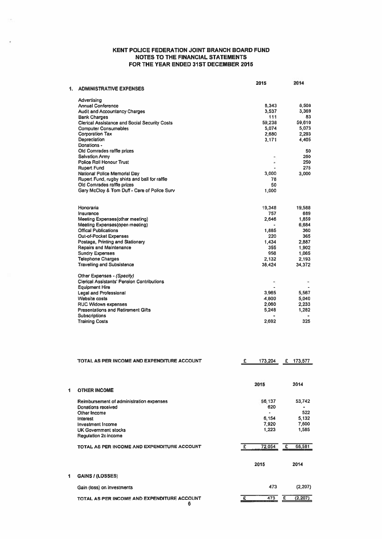# KENT POLICE FEDERATION JOINT BRANCH BOARD FUND NOTES TO THE FINANCIAL STATEMENTS FOR THE YEAR ENDED 31ST DECEMBER 2015

|    |                                                      | 2015   | 2014   |
|----|------------------------------------------------------|--------|--------|
| 1. | <b>ADMINISTRATIVE EXPENSES</b>                       |        |        |
|    | <b>Advertising</b>                                   |        |        |
|    | <b>Annual Conference</b>                             | 8,343  | 8.508  |
|    | <b>Audit and Accountancy Charges</b>                 | 3.537  | 3.369  |
|    | <b>Bank Charges</b>                                  | 111    | 83     |
|    | <b>Clerical Assistance and Social Security Costs</b> | 59.238 | 59,610 |
|    | <b>Computer Consumables</b>                          | 5,074  | 5.073  |
|    | <b>Corporation Tax</b>                               | 2,680  | 2,293  |
|    | Depreciation                                         | 3.171  | 4.405  |
|    | Donations -                                          |        |        |
|    | Old Comrades raffle prizes                           |        | 50     |
|    | <b>Salvation Army</b>                                |        | 250    |
|    | <b>Police Roll Honour Trust</b>                      | ٠      | 250    |
|    | <b>Rupert Fund</b>                                   |        | 275    |
|    | National Police Memorial Day                         | 3.000  | 3,000  |
|    | Rupert Fund, rugby shirts and ball for raffle        | 78     |        |
|    | Old Comrades raffle prizes                           | 50     |        |
|    | Gary McCloy & Tom Duff - Care of Police Surv         | 1,000  |        |
|    | Honoraria                                            | 19,348 | 19,588 |
|    | Insurance                                            | 757    | 689    |
|    | Meeting Expenses(other meeting)                      | 2.646  | 1,859  |
|    | Meeting Expenses(open meeting)                       |        | 6.684  |
|    | <b>Offical Publications</b>                          | 1,885  | 360    |
|    | Out-of-Pocket Expenses                               | 220    | 365    |
|    | Postage, Printing and Stationery                     | 1.434  | 2.887  |
|    | <b>Repairs and Maintenance</b>                       | 355    | 1.902  |
|    | <b>Sundry Expenses</b>                               | 956    | 1,065  |
|    | <b>Telephone Charges</b>                             | 2.132  | 2.193  |
|    | <b>Travelling and Subsistence</b>                    | 38.424 | 34.372 |
|    | Other Expenses - (Specify)                           |        |        |
|    | <b>Clerical Assistants' Pension Contributions</b>    |        |        |
|    | <b>Equipment Hire</b>                                |        |        |
|    | <b>Legal and Professional</b>                        | 3.965  | 5.567  |
|    | Website costs                                        | 4.800  | 5.040  |
|    | <b>RUC Widows expenses</b>                           | 2,060  | 2.233  |
|    | <b>Presentations and Retirement Gifts</b>            | 5,248  | 1,282  |
|    | Subscriptions                                        | ٠      |        |
|    | <b>Training Costs</b>                                | 2.692  | 325    |
|    |                                                      |        |        |

|   | TOTAL AS PER INCOME AND EXPENDITURE ACCOUNT                                                                                                                                          | £ | 173,204                                  | £ | 173,577                                  |
|---|--------------------------------------------------------------------------------------------------------------------------------------------------------------------------------------|---|------------------------------------------|---|------------------------------------------|
|   |                                                                                                                                                                                      |   | 2015                                     |   | 2014                                     |
|   | <b>OTHER INCOME</b>                                                                                                                                                                  |   |                                          |   |                                          |
|   | Reimbursement of administration expenses<br><b>Donations received</b><br>Other Income<br>Interest<br><b>Investment Income</b><br><b>UK Government stocks</b><br>Regulation 2c income |   | 56,137<br>620<br>6,154<br>7,920<br>1,223 |   | 53,742<br>522<br>5,132<br>7,600<br>1,585 |
|   | TOTAL AS PER INCOME AND EXPENDITURE ACCOUNT                                                                                                                                          | £ | 72,054                                   | £ | 68,581                                   |
|   |                                                                                                                                                                                      |   | 2015                                     |   | 2014                                     |
| 1 | GAINS / (LOSSES)                                                                                                                                                                     |   |                                          |   |                                          |
|   | Gain (loss) on investments                                                                                                                                                           |   | 473                                      |   | (2, 207)                                 |
|   | TOTAL AS PER INCOME AND EXPENDITURE ACCOUNT                                                                                                                                          | £ | 473                                      | £ | (2, 207)                                 |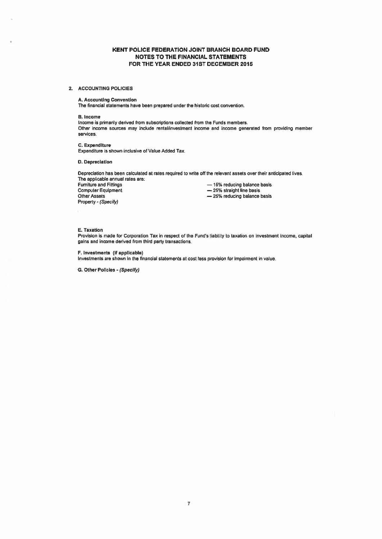# KENT POLICE FEDERATION JOINT BRANCH BOARD FUND NOTES TO THE FINANCIAL STATEMENTS FOR THE YEAR ENDED 31ST DECEMBER 2015

#### 2. ACCOUNTING POLICIES

#### A. Accounting Convention

The financial statements have been prepared under the historic cost convention.

#### B. Income

Income is primarily derived from subscriptions collected from the Funds members. Other income sources may include rental/investment income and income generated from providing member services.

#### C. Expenditure Expenditure is shown inclusive of Value Added Tax.

#### D. Depreciation

Depreciation has been calculated at rates required to write off the relevant assets over their anticipated lives. The applicable annual rates are:<br>Furniture and Fittings

Fumiture and Fittings<br>
Computer Equipment<br>
Computer Equipment<br>  $\begin{array}{r} -15\% \text{ straight line basis} \end{array}$ Computer Equipment<br>
Other Assets<br>  $-25%$  reducing balance Property - (Specify)

- 
- 
- 25% reducing balance basis

#### E. Taxation

Provision is made for Corporation Tax in respec<sup>t</sup> of the Fund's liability to taxation on investment income, capital gains and income derived from third party transactions.

F. investments (if applicable)

Investments are shown in the financial statements at cost less provision for impairment in value.

G. Other Policies - (Specify)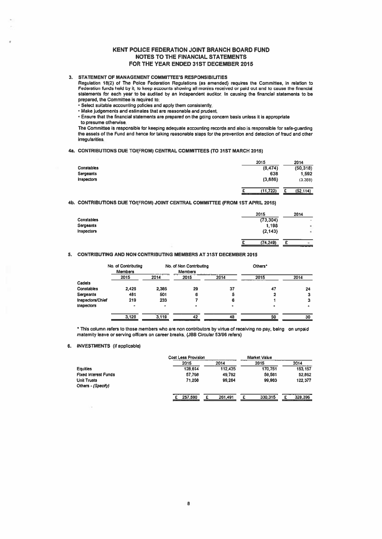# KENT POLICE FEDERATION JOINT BRANCH BOARD FUND NOTES TO THE FINANCIAL STATEMENTS FOR THE YEAR ENDED 31ST DECEMBER 2015

# 3. STATEMENT OF MANAGEMENT COMMITTEES RESPONSIBILITIES

# 4a. CONTRIBUTIONS DUE TO/(FROM) CENTRAL COMMITTEES (TO 31ST MARCH 2015)

|                   | 2015                       | 2014                  |
|-------------------|----------------------------|-----------------------|
| <b>Constables</b> | (8, 474)                   | (50, 318)             |
| Sergeants         | 638                        | 1,592                 |
| <b>Inspectors</b> | (3,886)                    | (3,388)               |
|                   | (11, 722)<br>------------- | (52, 114)<br>n<br>--- |

#### 4b. CONTRIBUTIONS DUE TO/(FROM) JOINT CENTRAL COMMITTEE (FROM 1ST APRIL 2015)

|                         |                                         | <b>KENT POLICE FEDERATION JOINT BRANCH BOARD FUND</b>                                                                                                                                                                              |                     |                    |
|-------------------------|-----------------------------------------|------------------------------------------------------------------------------------------------------------------------------------------------------------------------------------------------------------------------------------|---------------------|--------------------|
|                         |                                         | <b>NOTES TO THE FINANCIAL STATEMENTS</b><br>FOR THE YEAR ENDED 31ST DECEMBER 2015                                                                                                                                                  |                     |                    |
|                         |                                         |                                                                                                                                                                                                                                    |                     |                    |
|                         |                                         | STATEMENT OF MANAGEMENT COMMITTEE'S RESPONSIBILITIES                                                                                                                                                                               |                     |                    |
|                         |                                         | Regulation 18(2) of The Police Federation Regulations (as amended) requires the Committee, in relation to                                                                                                                          |                     |                    |
|                         |                                         | Federation funds held by it, to keep accounts showing all monies received or paid out and to cause the financial<br>statements for each year to be audited by an independent auditor. In causing the financial statements to be    |                     |                    |
|                         | prepared, the Committee is required to: |                                                                                                                                                                                                                                    |                     |                    |
|                         |                                         | • Select suitable accounting policies and apply them consistently.                                                                                                                                                                 |                     |                    |
|                         |                                         | • Make judgements and estimates that are reasonable and prudent.<br>Ensure that the financial statements are prepared on the going concern basis unless it is appropriate                                                          |                     |                    |
|                         | to presume otherwise.                   |                                                                                                                                                                                                                                    |                     |                    |
|                         |                                         | The Committee is responsible for keeping adequate accounting records and also is responsible for safe-guarding<br>the assets of the Fund and hence for taking reasonable steps for the prevention and detection of fraud and other |                     |                    |
| irregularities.         |                                         |                                                                                                                                                                                                                                    |                     |                    |
|                         |                                         |                                                                                                                                                                                                                                    |                     |                    |
|                         |                                         | CONTRIBUTIONS DUE TO/(FROM) CENTRAL COMMITTEES (TO 31ST MARCH 2015)                                                                                                                                                                |                     |                    |
|                         |                                         |                                                                                                                                                                                                                                    | 2015                | 2014               |
| Constables<br>Sergeants |                                         |                                                                                                                                                                                                                                    | (8,474)<br>638      | (50, 318)<br>1,592 |
| <b>Inspectors</b>       |                                         |                                                                                                                                                                                                                                    | (3,886)             | (3,388)            |
|                         |                                         |                                                                                                                                                                                                                                    |                     |                    |
|                         |                                         |                                                                                                                                                                                                                                    | (11, 722)<br>£      | £<br>(52, 114)     |
|                         |                                         | CONTRIBUTIONS DUE TO/(FROM) JOINT CENTRAL COMMITTEE (FROM 1ST APRIL 2015)                                                                                                                                                          |                     |                    |
|                         |                                         |                                                                                                                                                                                                                                    |                     |                    |
| Constables              |                                         |                                                                                                                                                                                                                                    | 2015<br>(73, 304)   | 2014               |
| Sergeants               |                                         |                                                                                                                                                                                                                                    | 1.198               |                    |
| <b>Inspectors</b>       |                                         |                                                                                                                                                                                                                                    | (2, 143)            |                    |
|                         |                                         |                                                                                                                                                                                                                                    | (74, 249)<br>£      | £                  |
|                         |                                         |                                                                                                                                                                                                                                    |                     |                    |
|                         |                                         | CONTRIBUTING AND NON CONTRIBUTING MEMBERS AT 31ST DECEMBER 2015                                                                                                                                                                    |                     |                    |
|                         | No. of Contributing                     | No. of Non Contributing                                                                                                                                                                                                            | Others <sup>*</sup> |                    |
|                         | <b>Members</b>                          | <b>Members</b>                                                                                                                                                                                                                     |                     |                    |

#### 5. CONTRIBUTING AND NON CONTRIBUTING MEMBERS AT 31ST DECEMBER 2015

|                  | No. of Contributing<br><b>Members</b> |       | No. of Non Contributing<br><b>Members</b> |      | Others <sup>*</sup> |      |
|------------------|---------------------------------------|-------|-------------------------------------------|------|---------------------|------|
|                  | 2015                                  | 2014  | 2015                                      | 2014 | 2015                | 2014 |
| Cadets           |                                       |       |                                           |      |                     |      |
| Constables       | 2.426                                 | 2,385 | 29                                        | 37   | 47                  | 24   |
| Sergeants        | 481                                   | 501   | 6                                         | 5    |                     |      |
| Inspectors/Chief | 219                                   | 233   |                                           | 6    |                     | з    |
| Inspectors       | ۰                                     |       |                                           |      |                     |      |
|                  | 3,126                                 | 3,119 | 42                                        | 48   | 50                  | 30   |

- This column refers to those members wtio are non contributors by virtue of receiving no pay, being on unpaid maternity leave or serving officers on career breaks. (JBB Circular 53/96 refers)

# 6. INVESTMENTS (if applicable)

|                      | Cost Less Provision |         | <b>Market Value</b> |              |
|----------------------|---------------------|---------|---------------------|--------------|
|                      | 2015                | 2014    | 2015                | 2014         |
| Equities             | 128,614             | 112,435 | 170,751             | 153, 157     |
| Fixed Interest Funds | 57,768              | 49.792  | 59,581              | 52.862       |
| Unit Trusts          | 71.208              | 99,264  | 99,983              | 122,377      |
| Others - (Specify)   |                     |         |                     |              |
|                      | 257,590             | 261,491 | 330.315             | 328,396<br>£ |